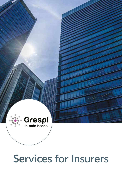

# **Services for Insurers**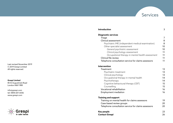Last revised November 2019 © 2019 Grespi Limited All rights reserved.

#### **Grespi Limited** 85 St Augustine's Road

London NW1 9RR

info@grespi.com tel: 0845 601 6036 www.grespi.com



| Introduction                                        | 3  |
|-----------------------------------------------------|----|
| <b>Diagnostic services</b>                          |    |
| Triage                                              | 7  |
| Clinical assessment                                 | 8  |
| Psychiatric IME (independent medical examination)   | 8  |
| Other specialist assessment                         | 10 |
| General psychiatric assessment                      | 10 |
| Clinical psychology assessment                      | 11 |
| Occupational therapy in mental health assessment    | 11 |
| Clinical file review                                | 11 |
| Telephone consultation service for claims assessors | 11 |
| <b>Intervention</b>                                 |    |
| <b>Treatment</b>                                    | 13 |
| Psychiatric treatment                               | 13 |
| Clinical psychology                                 | 13 |
| Occupational therapy in mental health               | 14 |
| Psychotherapy                                       | 14 |
| Cognitive behavioural therapy (CBT)                 | 15 |
| Counselling                                         | 15 |
| Vocational rehabilitation                           | 16 |
| <b>Employment mediation</b>                         | 16 |
| <b>Training and support</b>                         |    |
| Training on mental health for claims assessors      | 19 |
| Case-based review groups                            | 20 |
| Telephone consultation service for claims assessors | 20 |
| Key people                                          | 23 |
| <b>Contact Grespi</b>                               | 26 |

**Services**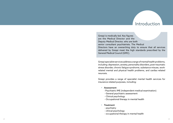# Introduction

Grespi is medically-led. Key figures are the Medical Director and the Deputy Medical Director, who are both senior consultant psychiatrists. The Medical Directors have an overarching duty to ensure that all services delivered by Grespi meet the high standards prescribed by the General Medical Council (GMC).

Grespi specialist services address a range of mental health problems, including: depression, anxiety, personality disorders, post-traumatic stress disorder, chronic fatigue syndrome, substance misuse, workrelated mental and physical health problems, and cardiac-related neurosis.

Grespi provides a range of specialist mental health services for insurance-related purposes, including:

- Assessment
	- Psychiatric IME (independent medical examination)
	- General psychiatric assessment
	- Clinical psychology
	- Occupational therapy in mental health
- **Treatment** 
	- psychiatry
	- clinical psychology
	- occupational therapy in mental health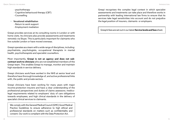- psychotherapy
- Cognitive behavioural therapy (CBT)
- Counselling

# • Vocational rehabilitation

- Return to work support
- Employment mediation

Grespi provides services at its consulting rooms in London or with home visits. Its clinicians also provide assessments and treatments remotely via Skype. This is particularly important for claimants who live outside London or have moved overseas.

Grespi operates as a team with a wide range of disciplines, including: psychiatrists, psychologists, occupational therapists in mental health, psychotherapists and specialist counsellors.

Most importantly, **Grespi is not an agency and does not subcontract work to clinicians** who are not established members of the Grespi team. This enables Grespi to manage, monitor and maintain high standards in service delivery.

Grespi clinicians work/have worked in the NHS at senior level and therefore have thorough knowledge of, and active professional links with, the public and private sectors.

Grespi clinicians have been working for many years with major income-protection insurers and have a clear understanding of the professional perspectives and duties of claims assessors; medicolegal requirements related to employers' duty of care obligations towards employees; and high clinical standards in the delivery of specialist clinical services to claimants.

We comply with the General Medical Council (GMC) Good Medical Practice Guidelines to ensure adherence to high ethical and professional standards on matters such as confidentiality and consent. Our work is compliant with the Data Protection Act.

Grespi recognises the complex legal context in which specialist assessments and treatments can take place and therefore works in partnership with leading international law firms to ensure that its services take legal sensitivities into account and do not prejudice the legal position of insurers, claimants or employers.

# Grespi's fees are set out in our latest **Service levels and fees** sheet.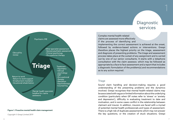# Diagnostic services

1



#### **Figure 1. Proactive mental health claim management**

*Copyright © Grespi Limited 2019*

Complex mental health-related claims are assessed more effectively if the process of identifying and

implementing the correct assessment is achieved at the onset, followed by evidence-based actions or interventions. Grespi therefore places the highest priority on the triage, assessment and diagnosis of presenting problems. The triage and assessment process takes place at the outset of any assignment and is carried out by one of our senior consultants. It starts with a telephone consultation with the claim assessor, which may be followed as appropriate by a face to face assessment and a report that includes a diagnostic formulation of the problem(s) and recommendations as to any action required.

#### **Triage**

Sound claim handling and decision-making requires a good understanding of the presenting problems and the dynamics involved. Grespi recognises that mental health-related claims may be associated with vague or limited information about the underlying condition (particularly when GP notes refer to 'stress' or 'anxiety and depression'), difficulty in evaluating treatment to date and motivation, and in some cases conflict in the relationship between claimant and insurer. In addition, insurers are faced with a myriad of potential mental health professionals and types of assessment. There is a high risk of duplicate assessments which may not answer the key questions, or the creation of stuck situations. Grespi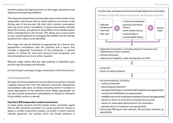therefore places the highest priority on the triage, assessment and diagnosis of presenting problems.

The triage and assessment process takes place at the outset of any assignment, and ensures that as claims assessor you remain in the driving seat of the process. We start with a phone conversation with one of our senior consultants. A typical conversation will take about 20 minutes, and allows for the problem to be clarified and an initial understanding to be formed. This allows you to have clarity on your overall approach for managing the problem and for the key questions for a report to be identified.

The triage call may be followed as appropriate by a face-to-face assessment consultation with the claimant and a report that includes a diagnostic formulation of the problem(s), a rational opinion on fitness for work and return-to-work prospects, and recommendations as to any action required.

Effective triage means that the right pathway is identified early, and the right processes are followed.

Contact Grespi to arrange a triage conversation within three hours.

# Clinical assessment

All types of clinical assessment are provided once we have received a signed consent form from the claimant concerned. Assessment consultations take place at Grespi consulting rooms in London or, where appropriate, at the claimant's home. When appropriate, we can also provide assessment consultations via Skype for claimants living outside London or abroad.

# **Psychiatric IME (independent medical examination)**

In cases where insurers and the Grespi senior consultant agree that an IME should be provided, it is usual practice for Grespi to expect a written instruction (usually via email) in which insurers indicate questions and queries which the Grespi assessor is

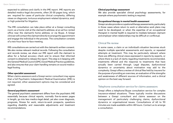expected to address and clarify in the IME report. IME reports are detailed medico-legal documents, often 20-30 pages long, which are required for cases of particular clinical complexity; differing views on diagnosis; tortuous employment-related dynamics; and/ or high potential for litigation.

The IME consultation can take place either at a Grespi consulting room; as a home visit at the claimant's address; at an ad hoc rented office near the claimant's home address; or via Skype. A Grespi clinician will contact the claimant directly to arrange the appointment and engage the individual in the process. The consultation consists of a two-hour face-to-face meeting.

IME consultations are carried out with the claimant's written consent. We also review relevant medical records. Following the consultation and records review, we share our IME report with the claimant to allow for a factual accuracy check and to ensure that informed consent is obtained to release the report. This step is in keeping with the General Medical Council (GMC) Good Medical Practice guidelines, and also ensures that your claim handling remains on sound medicolegal footing.

#### **Other specialist assessment**

When claims assessors and a Grespi senior consultant may agree that a full Psychiatric Independent Medical Examination (IME) is not required, other assessment options may be considered and agreed.

#### *General psychiatric assessment*

The general psychiatric assessment differs from the psychiatric IME essentially because clinical reports, normally five-to-seven pages in length, go into less medico-legal detail, yet also cover diagnosis, prognosis, fitness for work, return-to-work prospects, questions regarding disability and reasonable adjustments and treatment recommendations.

# *Clinical psychology assessment*

We also provide specialist clinical psychology assessments, for example where psychometric testing is required.

# *Occupational therapy in mental health assessment*

Grespi can also provide occupational therapy assessments, particularly in those cases where return to work or alternative work plans may need to be developed; or when the expertise of an occupational therapist in mental health is required to mediate between claimant and employer when relationships may be difficult or conflictual.

# Clinical file review

In some cases, a claim or an individual's situation becomes stuck despite multiple specialist assessments and reports, or repeated attempts at treatment. This may be particularly relevant where there are differing clinical views expressed in reports by experts, or where there is a lack of clarity regarding treatments recommended, treatments offered and the response to treatments that have actually been carried through. Legal disputes, dysfunctional dynamics or uncertainty about motivation may add to the complexity. Grespi offers a review of clinical files held by insurers for the purpose of providing an overview, an evaluation of the strengths and weaknesses of different sources of information, and a clinical opinion on the best way forward.

# Telephone consultation service for claims assessors

Grespi offers a telephone/Skype consultation service for complex insurance-related situations. These typically involve discussions between a Grespi consultant and claims assessor on the management of particularly challenging claims, dysfunctional dynamics or organisational issues. Consultations of 60 to 90 minutes are made available within 48 hours. Contact us to arrange a consultation.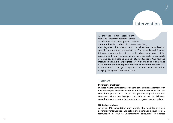# Intervention

Intervention<br>
A thereogen initial assessment<br>
Leads to occurrent<br>dates a simple control of the state of the state of the state of the<br>
a restard exist of contributions are not the state of the<br>
a restard text of the state A thorough initial assessment leads to recommendations aimed at effective claim management. Where a mental health condition has been identified, the diagnostic formulation and clinical opinion may lead to specific treatment recommendations. These specialised, focused interventions are tailored to move the situation forward – aiding recovery and return to work when there are realistic prospects of doing so, and helping unblock stuck situations. Our focused interventions have clear progress review points and are combined with interim and final reports provided to claimant and insurers. Authorisation is always sought from claims assessors before carrying out agreed treatment plans.

#### **Treatment**

#### **Psychiatric treatment**

In cases where an initial IME or general psychiatric assessment with one of our specialists has identified a mental health condition, our consultant psychiatrists can provide pharmacological treatment combined with a psychological approach, as well as follow-up consultations to monitor treatment and progress, as appropriate.

#### **Clinical psychology**

An initial IME consultation may identify the need for a clinical psychology intervention. Clinical psychologists use a psychological formulation (or way of understanding difficulties) to address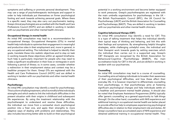symptoms and suffering or promote personal development. They may use a range of psychotherapeutic techniques and support in order to help individuals put themselves on firmer psychological footing and work towards achieving personal goals. Where there is a specific need, they may also carry out psychometric testing. Grespi clinical psychologists are accredited with the Health and Care Professions Council (HCPC) and are skilled in working in tandem with our psychiatrists and other mental health clinicians.

#### **Occupational therapy in mental health**

An initial IME consultation may lead to a recommendation for occupational therapy. Occupational therapists (OTs) in mental health help individuals to optimise their engagement in meaningful and productive roles in their employment and, more in general, in any occupational setting. The individual is helped to identify their goals, translate these into realistic objectives and to stay on task in working towards these objectives within an agreed timeframe. Such help is particularly important for people who may need to make a significant recalibration in their lives or reintegrate in work following a period of illness; or, in some cases, consider whether a redirection in their employment status and context may be a healthier prospect for them. Grespi OTs are registered with the Health and Care Professions Council (HCPC) and are skilled in working in tandem with our psychiatrists and other mental health clinicians.

#### **Psychotherapy**

An initial IME consultation may identify a need for psychotherapy. This is a form of talking treatment, which is mindful of the individual's strengths and which seeks to link the individual's difficulties in the present situation with their origins in childhood and subsequent life experiences. By using the treatment relationship with the psychotherapist to understand and resolve these difficulties, the individual can move from a somewhat stuck psychological position into a freer one, and apply their strengths to more adaptive ways of dealing with problems and relationships. This also includes becoming better able to build on their psychological

potential in a working environment and become better equipped to work pressures. Grespi's psychotherapists are registered with the main umbrella organisations for psychotherapy in the UK – the British Psychoanalytic Council (BPC), the UK Council for Psychotherapy (UKCP) and the British Association for Counselling and Psychotherapy (BACP). They are skilled in working in tandem with our psychiatrists and other mental health clinicians.

# **Cognitive behavioural therapy (CBT)**

An initial IME consultation may identify a need for CBT. This is a type of talking treatment that helps the individual identify their typical ways of thinking and behaving, and link this with their feelings and symptoms. By strengthening helpful thoughts strategies, while challenging unhelpful ones, the individual and their therapist work towards goals by setting exercises which the individual then carries out in a supported way. Grespi's CBT therapists are recognised by the British Association for Behavioural-Cognitive Psychotherapy (BABCP), the main accreditation body for CBT in the UK, and are skilled in working in tandem with our psychiatrists.

#### **Counselling**

An initial IME consultation may lead to a course of counselling. Counselling aims at helping individuals to broaden their awareness of their psychological difficulties, and how these affect their everyday life. It is however important to differentiate counselling from psychotherapy, in that psychotherapy aims at fostering significant psychological changes and help individuals settle on a healthier and permanent mental health plateau. It should also be noted that Employee Assistance Programmes (EAPs) typically offer 'generic counselling' as a general opportunity to 'talk things through'. On the other hand, counsellors with NHS experience and additional training in occupational mental health are better placed to provide effective help to employees experiencing psychological difficulties also in relation to their employment role and duties. All Grespi counsellors have accumulated years of NHS experience and obtained additional training in occupational mental health. They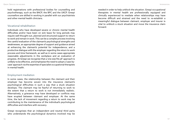hold registrations with professional bodies for counselling and psychotherapy, such as the BACP, the BPC and the UKCP. Grespi counsellors are skilled in working in parallel with our psychiatrists and other mental health clinicians.

# Vocational rehabilitation

Individuals who have developed severe or chronic mental health difficulties and/or have been on sick leave for long periods may require well thought-out, planned and structured support to return to work and remain in work. This can be a complex process involving the careful evaluation of the claimant's psychological strengths and weaknesses, an appropriate degree of support and guidance aimed at enhancing the claimant's potential for independence; and a productive dialogue with the employer regarding the return to work process and time framework, as well as in some cases appropriate reasonable adjustments in the workplace and an evaluation of progress. At Grespi we recognise that a 'one size fits all' approach is unlikely to be effective, and emphasise the need to adopt a 'case-bycase' approach via the expertise of specialist occupational therapists in mental health.

# Employment mediation

In some cases, the relationship between the claimant and their employer has become woven into the insurance claimant's psychological difficulties in such a way that a stuck situation develops. The claimant may be fearful of returning to work to the extent that a return to work is not immediately realistic. Alternatively, a grievance may have developed or conflicts may have erupted between claimant and employer. At the same time, the lack of movement regarding a return to work may be contributing to the maintenance of the individual's psychological difficulties and interfere with recovery.

Grespi recognises that an independent and neutral third party who understands the psychological dynamics involved may be needed in order to help unblock the situation. Grespi occupational therapists in mental health are professionally equipped and clinically experienced to mediate when relationships may have become difficult and strained and the need to re-establish a meaningful dialogue between claimant, employer and insurer is vital to unblock a stuck situation and move the insurance claim forward.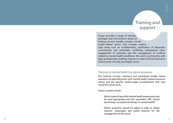# Training and support

Trainining and<br>
Support Considers a maps of scheme is a simple to support<br>
Support the probable state and a state and a state and a state and a state and a state and a state and a state and a state and a state of dispersio Grespi provides a range of training packages and interventions aimed at helping insurers handle complex mental health-related claims. This includes medicolegal areas such as confidentiality, clarification of diagnostic uncertainties and potentially conflicting professional roles, engagement of claimants and the management of conflicts related to mental health conditions. We work in partnership with legal professionals enabling insurers to make informed decisions that are both clinically and legally sound.

# Training on mental health for claims assessors

Our training courses, seminars and workshops enable claims assessors to deal effectively with mental health-related insurance claims and the specific medico-legal considerations that may result from such work.

Areas covered include:

- Which types of specialist mental health assessment may be most appropriate and why: psychiatric IME, clinical psychology, occupational therapy in mental health?
- Which questions should be asked in order to obtain relevant, meaningful and useful answers for the management of the claim?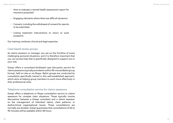- How to evaluate a mental health assessment report for insurance purposes?
- Engaging claimants where there are difficult dynamics
- Consent, including the withdrawal of consent for reports to be submitted
- Linking treatment interventions to return to work prospects

Our training combines clinical and legal expertise.

# Case-based review groups

As claims assessor or manager, you are on the frontline of some challenging personal situations, and it is therefore important that you can access help that is specifically designed to support you in your role.

Grespi offers a consultant-facilitated case discussion service for claims assessors typically provided in a 60 to 90-minute Balint group format, held on site or via Skype. Balint groups are conducted by consultants specifically trained in this well-established approach, which aims at helping group members to work more effectively in their professional roles.

# Telephone consultation service for claims assessors

Grespi offers a telephone or Skype consultation service to claims assessors for complex claim situations. These typically involve discussions between a Grespi consultant and a claims assessor on the management of individual claims, claim patterns, or dysfunctional organisational issues. These consultations are normally pre-booked. Grespi guarantees that consultations of 60 to 90 minutes will be available within 48 hours.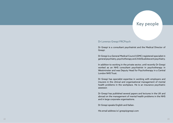# Key people

### Dr Lorenzo Grespi FRCPsych

Dr Grespi is a consultant psychiatrist and the Medical Director of Grespi.

Dr Grespi is a General Medical Council (GMC) registered specialist in general psychiatry, psychotherapy and child & adolescent psychiatry.

In addition to working in the private sector, until recently Dr Grespi worked as an NHS consultant psychiatrist in psychotherapy in Westminster and was Deputy Head for Psychotherapy in a Central London NHS Trust.

Dr Grespi has specialist expertise in working with employers and insurers in the clinical and organisational management of mental health problems in the workplace. He is an insurance psychiatric assessor.

Dr Grespi has published several papers and lectures in the UK and abroad on the management of mental health problems in the NHS and in large corporate organisations.

Dr Grespi speaks English and Italian.

His email address is l.grespi@grespi.com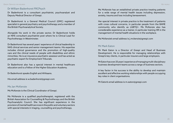# Dr William Badenhorst FRCPsych

Dr Badenhorst is a consultant psychiatrist, psychoanalyst and Deputy Medical Director of Grespi.

Dr Badenhorst is a General Medical Council (GMC) registered specialist in general psychiatry and psychotherapy and a member of the British Psychoanalytical Society.

Alongside his work in the private sector, Dr Badenhorst holds an NHS consultant psychiatrist post where he is Clinical Lead for Psychotherapy in Westminster.

Dr Badenhorst has several years' experience of clinical leadership in NHS clinical services and senior management teams. His expertise includes clinical governance and the promotion of high-quality care and the clinical needs of people with disabilities and ethnic minorities. He is an insurance psychiatric assessor and has acted as psychiatric expert for Employment Tribunals.

Dr Badenhorst also has a special interest in mental healthcare education and is a Fellow of the Higher Education Academy.

Dr Badenhorst speaks English and Afrikaans.

His email address is w.badenhorst@grespi.com

### Ms Jan McKenzie

Ms McKenzie is the Clinical Coordinator of Grespi.

Ms McKenzie is a qualified psychotherapist, registered with the British Association for Counselling & Psychotherapy and the British Psychoanalytic Council. She has significant experience in the provision of mental health services in the public and voluntary sectors with special interests in triaging, counselling and psychotherapy.

Ms McKenzie has an established private practice treating patients for a wide range of mental health issues including depression, anxiety, trauma and loss including bereavement.

Her special interest in private practice is the treatment of patients with cross cultural concerns, in particular people from the BAME community who identify as LGBTQ+. Ms McKenzie also has considerable experience as a trainer, in particular training HR in the management of mental health situations in the workplace.

Ms McKenzie's email address is j.mckenzie@grespi.com

# Mr Mark Eaton

Mr Mark Eaton is a Director of Grespi and Head of Business Development. He is responsible for managing relationships with Grespi's key clients, in particular insurers and large employers.

Mr Eaton has over 25 years' experience of managing multi-disciplinary business development teams across a range of business sectors.

A key factor in his success is the ability to develop and maintain excellent and effective working relationships with people occupying key roles in client organisations.

Mr Eaton's email address is m.eaton@grespi.com